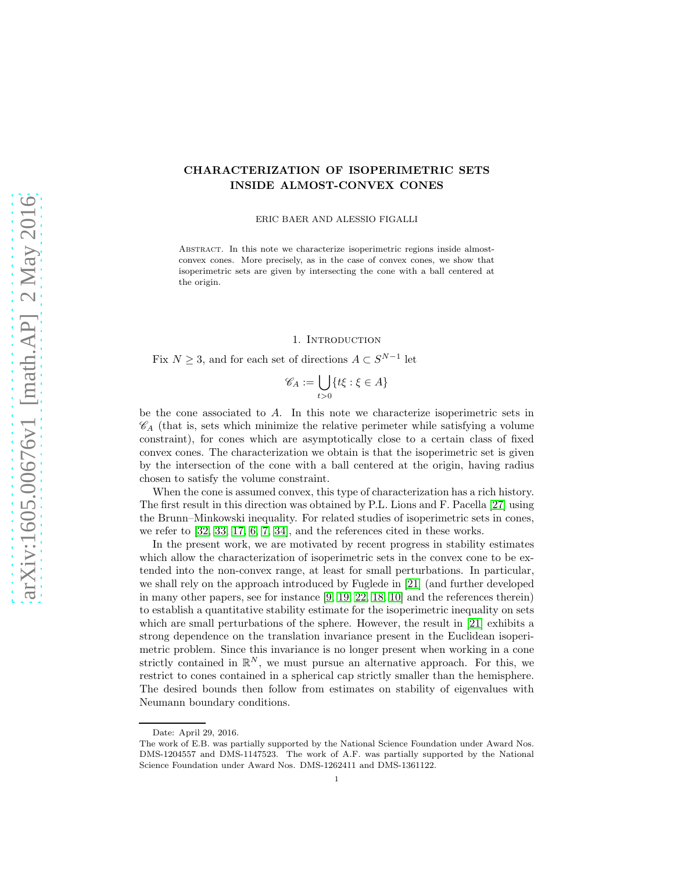# CHARACTERIZATION OF ISOPERIMETRIC SETS INSIDE ALMOST-CONVEX CONES

ERIC BAER AND ALESSIO FIGALLI

ABSTRACT. In this note we characterize isoperimetric regions inside almostconvex cones. More precisely, as in the case of convex cones, we show that isoperimetric sets are given by intersecting the cone with a ball centered at the origin.

### 1. INTRODUCTION

Fix  $N \geq 3$ , and for each set of directions  $A \subset S^{N-1}$  let

$$
\mathscr{C}_A := \bigcup_{t>0} \{ t\xi : \xi \in A \}
$$

be the cone associated to A. In this note we characterize isoperimetric sets in  $\mathscr{C}_A$  (that is, sets which minimize the relative perimeter while satisfying a volume constraint), for cones which are asymptotically close to a certain class of fixed convex cones. The characterization we obtain is that the isoperimetric set is given by the intersection of the cone with a ball centered at the origin, having radius chosen to satisfy the volume constraint.

When the cone is assumed convex, this type of characterization has a rich history. The first result in this direction was obtained by P.L. Lions and F. Pacella [\[27\]](#page-13-0) using the Brunn–Minkowski inequality. For related studies of isoperimetric sets in cones, we refer to [\[32,](#page-13-1) [33,](#page-13-2) [17,](#page-13-3) [6,](#page-12-0) [7,](#page-12-1) [34\]](#page-13-4), and the references cited in these works.

In the present work, we are motivated by recent progress in stability estimates which allow the characterization of isoperimetric sets in the convex cone to be extended into the non-convex range, at least for small perturbations. In particular, we shall rely on the approach introduced by Fuglede in [\[21\]](#page-13-5) (and further developed in many other papers, see for instance [\[9,](#page-13-6) [19,](#page-13-7) [22,](#page-13-8) [18,](#page-13-9) [10\]](#page-13-10) and the references therein) to establish a quantitative stability estimate for the isoperimetric inequality on sets which are small perturbations of the sphere. However, the result in [\[21\]](#page-13-5) exhibits a strong dependence on the translation invariance present in the Euclidean isoperimetric problem. Since this invariance is no longer present when working in a cone strictly contained in  $\mathbb{R}^N$ , we must pursue an alternative approach. For this, we restrict to cones contained in a spherical cap strictly smaller than the hemisphere. The desired bounds then follow from estimates on stability of eigenvalues with Neumann boundary conditions.

Date: April 29, 2016.

The work of E.B. was partially supported by the National Science Foundation under Award Nos. DMS-1204557 and DMS-1147523. The work of A.F. was partially supported by the National Science Foundation under Award Nos. DMS-1262411 and DMS-1361122.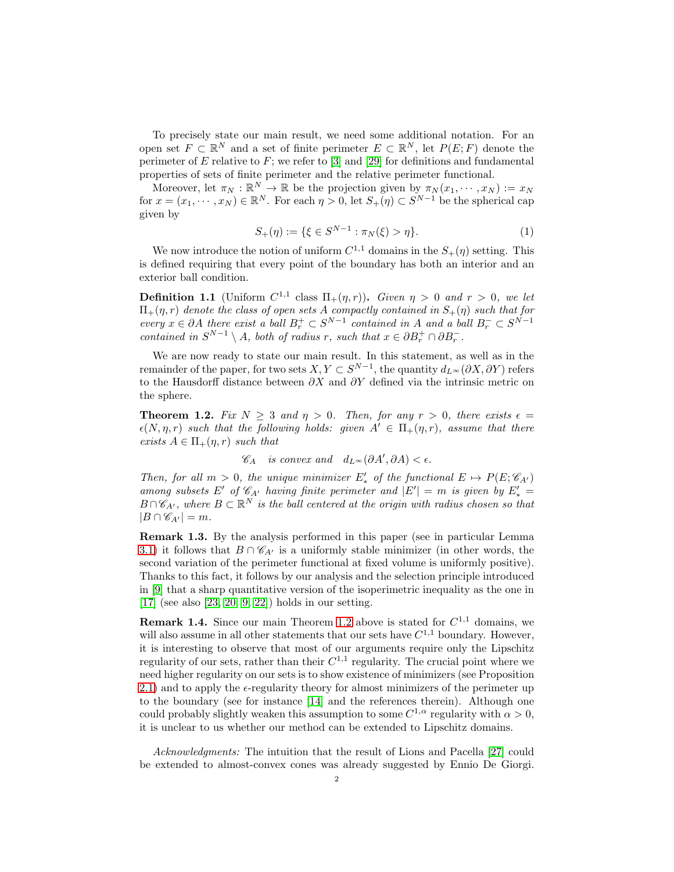To precisely state our main result, we need some additional notation. For an open set  $F \subset \mathbb{R}^N$  and a set of finite perimeter  $E \subset \mathbb{R}^N$ , let  $P(E; F)$  denote the perimeter of  $E$  relative to  $F$ ; we refer to [\[3\]](#page-12-2) and [\[29\]](#page-13-11) for definitions and fundamental properties of sets of finite perimeter and the relative perimeter functional.

Moreover, let  $\pi_N : \mathbb{R}^N \to \mathbb{R}$  be the projection given by  $\pi_N(x_1, \dots, x_N) := x_N$ for  $x = (x_1, \dots, x_N) \in \mathbb{R}^N$ . For each  $\eta > 0$ , let  $S_+(\eta) \subset S^{N-1}$  be the spherical cap given by

<span id="page-1-2"></span>
$$
S_{+}(\eta) := \{ \xi \in S^{N-1} : \pi_{N}(\xi) > \eta \}. \tag{1}
$$

We now introduce the notion of uniform  $C^{1,1}$  domains in the  $S_+(\eta)$  setting. This is defined requiring that every point of the boundary has both an interior and an exterior ball condition.

<span id="page-1-1"></span>**Definition 1.1** (Uniform  $C^{1,1}$  class  $\Pi_+(\eta,r)$ ). *Given*  $\eta > 0$  *and*  $r > 0$ *, we let*  $\Pi_+(\eta,r)$  denote the class of open sets  $A$  compactly contained in  $S_+(\eta)$  such that for *every*  $x \in \partial A$  *there exist a ball*  $B_r^+ \subset S^{N-1}$  *contained in* A *and a ball*  $B_r^- \subset S^{N-1}$ *contained in*  $S^{N-1} \setminus A$ *, both of radius r, such that*  $x \in \partial B_r^+ \cap \partial B_r^-$ *.* 

We are now ready to state our main result. In this statement, as well as in the remainder of the paper, for two sets  $X, Y \subset S^{N-1}$ , the quantity  $d_{L^{\infty}}(\partial X, \partial Y)$  refers to the Hausdorff distance between  $\partial X$  and  $\partial Y$  defined via the intrinsic metric on the sphere.

<span id="page-1-0"></span>**Theorem 1.2.** *Fix*  $N > 3$  *and*  $\eta > 0$ *. Then, for any*  $r > 0$ *, there exists*  $\epsilon =$  $\epsilon(N, \eta, r)$  *such that the following holds: given*  $A' \in \Pi_+(\eta, r)$ *, assume that there exists*  $A \in \Pi_+(\eta, r)$  *such that* 

 $\mathscr{C}_A$  *is convex and*  $d_{L^{\infty}}(\partial A', \partial A) < \epsilon$ .

*Then, for all*  $m > 0$ , the unique minimizer  $E'_{*}$  of the functional  $E \mapsto P(E; \mathscr{C}_{A'})$ *among subsets* E' of  $\mathcal{C}_{A'}$  *having finite perimeter and*  $|E'| = m$  *is given by*  $E'_{*} =$  $B \cap \mathscr{C}_{A'}$ , where  $B \subset \mathbb{R}^N$  is the ball centered at the origin with radius chosen so that  $|B \cap \mathscr{C}_{A'}| = m$ .

Remark 1.3. By the analysis performed in this paper (see in particular Lemma [3.1\)](#page-8-0) it follows that  $B \cap \mathcal{C}_{A'}$  is a uniformly stable minimizer (in other words, the second variation of the perimeter functional at fixed volume is uniformly positive). Thanks to this fact, it follows by our analysis and the selection principle introduced in [\[9\]](#page-13-6) that a sharp quantitative version of the isoperimetric inequality as the one in [\[17\]](#page-13-3) (see also [\[23,](#page-13-12) [20,](#page-13-13) [9,](#page-13-6) [22\]](#page-13-8)) holds in our setting.

**Remark 1.4.** Since our main Theorem [1.2](#page-1-0) above is stated for  $C^{1,1}$  domains, we will also assume in all other statements that our sets have  $C^{1,1}$  boundary. However, it is interesting to observe that most of our arguments require only the Lipschitz regularity of our sets, rather than their  $C^{1,1}$  regularity. The crucial point where we need higher regularity on our sets is to show existence of minimizers (see Proposition [2.1\)](#page-2-0) and to apply the  $\epsilon$ -regularity theory for almost minimizers of the perimeter up to the boundary (see for instance [\[14\]](#page-13-14) and the references therein). Although one could probably slightly weaken this assumption to some  $C^{1,\alpha}$  regularity with  $\alpha > 0$ , it is unclear to us whether our method can be extended to Lipschitz domains.

*Acknowledgments:* The intuition that the result of Lions and Pacella [\[27\]](#page-13-0) could be extended to almost-convex cones was already suggested by Ennio De Giorgi.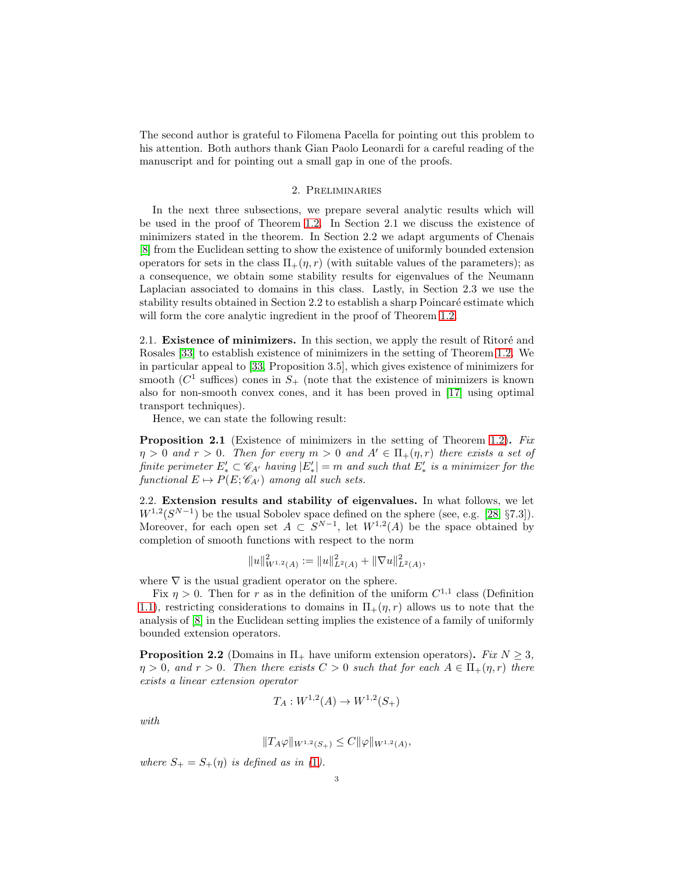The second author is grateful to Filomena Pacella for pointing out this problem to his attention. Both authors thank Gian Paolo Leonardi for a careful reading of the manuscript and for pointing out a small gap in one of the proofs.

## 2. Preliminaries

In the next three subsections, we prepare several analytic results which will be used in the proof of Theorem [1](#page-1-0).2. In Section 2.1 we discuss the existence of minimizers stated in the theorem. In Section 2.2 we adapt arguments of Chenais [\[8\]](#page-13-15) from the Euclidean setting to show the existence of uniformly bounded extension operators for sets in the class  $\Pi_{+}(\eta, r)$  (with suitable values of the parameters); as a consequence, we obtain some stability results for eigenvalues of the Neumann Laplacian associated to domains in this class. Lastly, in Section 2.3 we use the stability results obtained in Section 2.2 to establish a sharp Poincaré estimate which will form the core analytic ingredient in the proof of Theorem [1](#page-1-0).2.

2.1. Existence of minimizers. In this section, we apply the result of Ritoré and Rosales [\[33\]](#page-13-2) to establish existence of minimizers in the setting of Theorem 1.[2.](#page-1-0) We in particular appeal to [\[33,](#page-13-2) Proposition 3.5], which gives existence of minimizers for smooth ( $C<sup>1</sup>$  suffices) cones in  $S<sub>+</sub>$  (note that the existence of minimizers is known also for non-smooth convex cones, and it has been proved in [\[17\]](#page-13-3) using optimal transport techniques).

Hence, we can state the following result:

<span id="page-2-0"></span>Proposition 2.1 (Existence of minimizers in the setting of Theorem [1.2\)](#page-1-0). *Fix*  $\eta > 0$  and  $r > 0$ . Then for every  $m > 0$  and  $A' \in \Pi_+(\eta, r)$  there exists a set of *finite perimeter*  $E'_{\star} \subset \mathscr{C}_{A'}$  *having*  $|E'_{\star}| = m$  *and such that*  $E'_{\star}$  *is a minimizer for the functional*  $E \mapsto P(E; \mathcal{C}_{A'})$  *among all such sets.* 

2.2. Extension results and stability of eigenvalues. In what follows, we let  $W^{1,2}(S^{N-1})$  be the usual Sobolev space defined on the sphere (see, e.g. [\[28,](#page-13-16) §7.3]). Moreover, for each open set  $A \subset S^{N-1}$ , let  $W^{1,2}(A)$  be the space obtained by completion of smooth functions with respect to the norm

$$
||u||_{W^{1,2}(A)}^2 := ||u||_{L^2(A)}^2 + ||\nabla u||_{L^2(A)}^2,
$$

where  $\nabla$  is the usual gradient operator on the sphere.

Fix  $\eta > 0$ . Then for r as in the definition of the uniform  $C^{1,1}$  class (Definition 1.[1\)](#page-1-1), restricting considerations to domains in  $\Pi_+(\eta, r)$  allows us to note that the analysis of [\[8\]](#page-13-15) in the Euclidean setting implies the existence of a family of uniformly bounded extension operators.

<span id="page-2-1"></span>**Proposition 2.2** (Domains in  $\Pi$  have uniform extension operators). *Fix*  $N \geq 3$ ,  $\eta > 0$ , and  $r > 0$ . Then there exists  $C > 0$  such that for each  $A \in \Pi_+(\eta, r)$  there *exists a linear extension operator*

$$
T_A: W^{1,2}(A) \to W^{1,2}(S_+)
$$

*with*

$$
||T_A\varphi||_{W^{1,2}(S_+)} \leq C ||\varphi||_{W^{1,2}(A)},
$$

*where*  $S_+ = S_+(\eta)$  *is defined as in ([1](#page-1-2)).*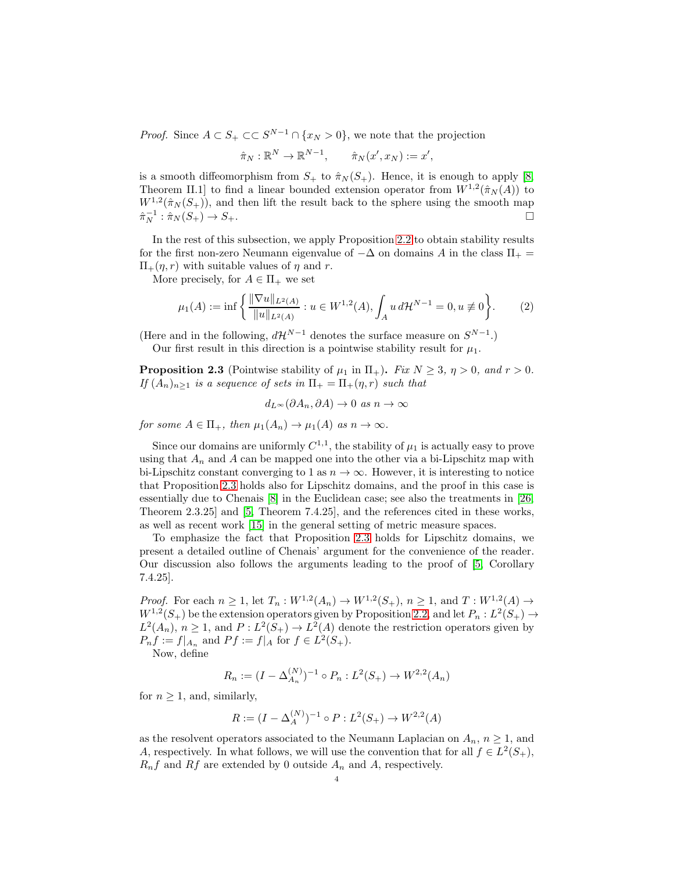*Proof.* Since  $A \subset S_+ \subset S^{N-1} \cap \{x_N > 0\}$ , we note that the projection

$$
\hat{\pi}_N : \mathbb{R}^N \to \mathbb{R}^{N-1}, \qquad \hat{\pi}_N(x', x_N) := x',
$$

is a smooth diffeomorphism from  $S_+$  to  $\hat{\pi}_N(S_+)$ . Hence, it is enough to apply [\[8,](#page-13-15) Theorem II.1 to find a linear bounded extension operator from  $W^{1,2}(\hat{\pi}_N(A))$  to  $W^{1,2}(\hat{\pi}_N(S_+))$ , and then lift the result back to the sphere using the smooth map  $\hat{\pi}_N^{-1} : \hat{\pi}_N(S_+) \to S_+.$ 

In the rest of this subsection, we apply Proposition 2.[2](#page-2-1) to obtain stability results for the first non-zero Neumann eigenvalue of  $-\Delta$  on domains A in the class  $\Pi_+$  =  $\Pi_{+}(\eta, r)$  with suitable values of  $\eta$  and r.

More precisely, for  $A \in \Pi_+$  we set

$$
\mu_1(A) := \inf \left\{ \frac{\|\nabla u\|_{L^2(A)}}{\|u\|_{L^2(A)}} : u \in W^{1,2}(A), \int_A u \, d\mathcal{H}^{N-1} = 0, u \not\equiv 0 \right\}.
$$
 (2)

(Here and in the following,  $d\mathcal{H}^{N-1}$  denotes the surface measure on  $S^{N-1}$ .) Our first result in this direction is a pointwise stability result for  $\mu_1$ .

<span id="page-3-0"></span>**Proposition 2.3** (Pointwise stability of  $\mu_1$  in  $\Pi_+$ ). *Fix*  $N \geq 3$ ,  $\eta > 0$ , and  $r > 0$ . *If*  $(A_n)_{n\geq 1}$  *is a sequence of sets in*  $\Pi_+ = \Pi_+(\eta, r)$  *such that* 

<span id="page-3-1"></span> $d_L \infty (\partial A_n, \partial A) \to 0$  *as*  $n \to \infty$ 

*for some*  $A \in \Pi_+$ *, then*  $\mu_1(A_n) \to \mu_1(A)$  *as*  $n \to \infty$ *.* 

Since our domains are uniformly  $C^{1,1}$ , the stability of  $\mu_1$  is actually easy to prove using that  $A_n$  and A can be mapped one into the other via a bi-Lipschitz map with bi-Lipschitz constant converging to 1 as  $n \to \infty$ . However, it is interesting to notice that Proposition 2.[3](#page-3-0) holds also for Lipschitz domains, and the proof in this case is essentially due to Chenais [\[8\]](#page-13-15) in the Euclidean case; see also the treatments in [\[26,](#page-13-17) Theorem 2.3.25] and [\[5,](#page-12-3) Theorem 7.4.25], and the references cited in these works, as well as recent work [\[15\]](#page-13-18) in the general setting of metric measure spaces.

To emphasize the fact that Proposition [2.3](#page-3-0) holds for Lipschitz domains, we present a detailed outline of Chenais' argument for the convenience of the reader. Our discussion also follows the arguments leading to the proof of [\[5,](#page-12-3) Corollary 7.4.25].

*Proof.* For each  $n \geq 1$ , let  $T_n : W^{1,2}(A_n) \to W^{1,2}(S_+), n \geq 1$ , and  $T : W^{1,2}(A) \to W^{1,2}(S_+), n \geq 1$  $W^{1,2}(S_+)$  be the extension operators given by Proposition 2.[2,](#page-2-1) and let  $P_n: L^2(S_+) \to$  $L^2(A_n)$ ,  $n \geq 1$ , and  $P: L^2(S_+) \to L^2(A)$  denote the restriction operators given by  $P_n f := f|_{A_n}$  and  $Pf := f|_A$  for  $f \in L^2(S_+).$ 

Now, define

$$
R_n := (I - \Delta_{A_n}^{(N)})^{-1} \circ P_n : L^2(S_+) \to W^{2,2}(A_n)
$$

for  $n \geq 1$ , and, similarly,

$$
R:=(I-\Delta_A^{(N)})^{-1}\circ P: L^2(S_+)\to W^{2,2}(A)
$$

as the resolvent operators associated to the Neumann Laplacian on  $A_n$ ,  $n \geq 1$ , and A, respectively. In what follows, we will use the convention that for all  $f \in L^2(S_+),$  $R_n f$  and Rf are extended by 0 outside  $A_n$  and A, respectively.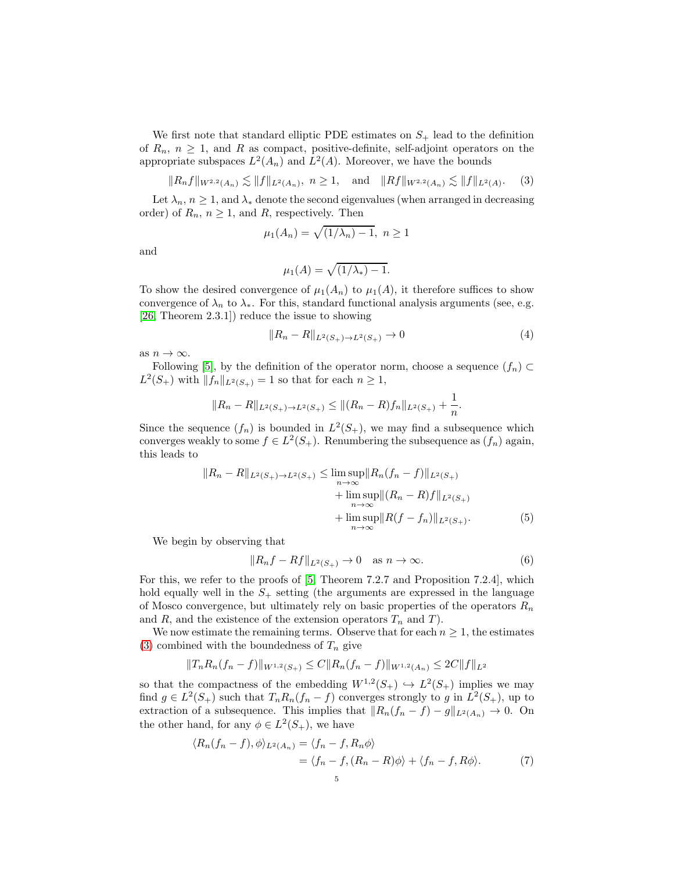We first note that standard elliptic PDE estimates on  $S_+$  lead to the definition of  $R_n$ ,  $n \geq 1$ , and R as compact, positive-definite, self-adjoint operators on the appropriate subspaces  $L^2(A_n)$  and  $L^2(A)$ . Moreover, we have the bounds

$$
||R_n f||_{W^{2,2}(A_n)} \lesssim ||f||_{L^2(A_n)}, \ n \ge 1, \quad \text{and} \quad ||Rf||_{W^{2,2}(A_n)} \lesssim ||f||_{L^2(A)}.\tag{3}
$$

Let  $\lambda_n$ ,  $n \geq 1$ , and  $\lambda_*$  denote the second eigenvalues (when arranged in decreasing order) of  $R_n$ ,  $n \geq 1$ , and R, respectively. Then

$$
\mu_1(A_n) = \sqrt{(1/\lambda_n) - 1}, \ n \ge 1
$$

and

<span id="page-4-4"></span><span id="page-4-0"></span>
$$
\mu_1(A) = \sqrt{(1/\lambda_*) - 1}.
$$

To show the desired convergence of  $\mu_1(A_n)$  to  $\mu_1(A)$ , it therefore suffices to show convergence of  $\lambda_n$  to  $\lambda_*$ . For this, standard functional analysis arguments (see, e.g. [\[26,](#page-13-17) Theorem 2.3.1]) reduce the issue to showing

$$
||R_n - R||_{L^2(S_+) \to L^2(S_+)} \to 0 \tag{4}
$$

as  $n \to \infty$ .

Following [\[5\]](#page-12-3), by the definition of the operator norm, choose a sequence  $(f_n) \subset$  $L^2(S_+)$  with  $||f_n||_{L^2(S_+)} = 1$  so that for each  $n \geq 1$ ,

$$
||R_n - R||_{L^2(S_+) \to L^2(S_+)} \le ||(R_n - R)f_n||_{L^2(S_+)} + \frac{1}{n}.
$$

Since the sequence  $(f_n)$  is bounded in  $L^2(S_+)$ , we may find a subsequence which converges weakly to some  $f \in L^2(S_+)$ . Renumbering the subsequence as  $(f_n)$  again, this leads to

$$
||R_n - R||_{L^2(S_+) \to L^2(S_+)} \le \limsup_{n \to \infty} ||R_n(f_n - f)||_{L^2(S_+)}
$$
  
+ 
$$
\limsup_{n \to \infty} ||(R_n - R)f||_{L^2(S_+)}
$$
  
+ 
$$
\limsup_{n \to \infty} ||R(f - f_n)||_{L^2(S_+)}.
$$
 (5)

We begin by observing that

<span id="page-4-3"></span><span id="page-4-1"></span>
$$
||R_nf - Rf||_{L^2(S_+)} \to 0 \quad \text{as } n \to \infty.
$$
 (6)

For this, we refer to the proofs of [\[5,](#page-12-3) Theorem 7.2.7 and Proposition 7.2.4], which hold equally well in the  $S_+$  setting (the arguments are expressed in the language of Mosco convergence, but ultimately rely on basic properties of the operators  $R_n$ and R, and the existence of the extension operators  $T_n$  and T).

We now estimate the remaining terms. Observe that for each  $n \geq 1$ , the estimates [\(3\)](#page-4-0) combined with the boundedness of  $T_n$  give

$$
||T_n R_n (f_n - f)||_{W^{1,2}(S_+)} \leq C||R_n (f_n - f)||_{W^{1,2}(A_n)} \leq 2C||f||_{L^2}
$$

so that the compactness of the embedding  $W^{1,2}(S_+) \hookrightarrow L^2(S_+)$  implies we may find  $g \in L^2(S_+)$  such that  $T_n R_n(f_n - f)$  converges strongly to g in  $L^2(S_+)$ , up to extraction of a subsequence. This implies that  $||R_n(f_n - f) - g||_{L^2(A_n)} \to 0$ . On the other hand, for any  $\phi \in L^2(S_+)$ , we have

<span id="page-4-2"></span>
$$
\langle R_n(f_n - f), \phi \rangle_{L^2(A_n)} = \langle f_n - f, R_n \phi \rangle
$$
  
=  $\langle f_n - f, (R_n - R)\phi \rangle + \langle f_n - f, R\phi \rangle.$  (7)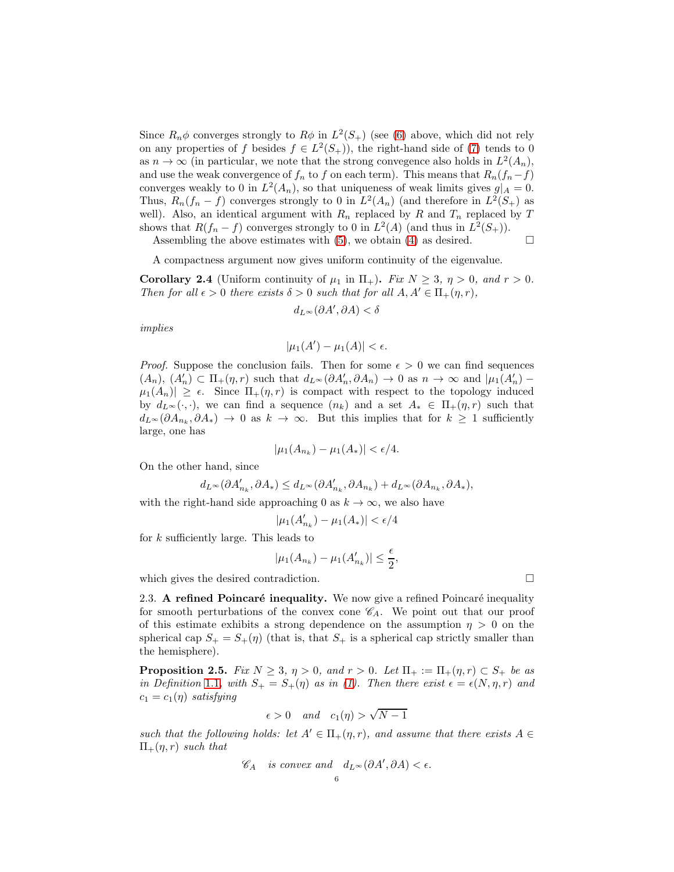Since  $R_n \phi$  converges strongly to  $R\phi$  in  $L^2(S_+)$  (see [\(6\)](#page-4-1) above, which did not rely on any properties of f besides  $f \in L^2(S_+)$ , the right-hand side of [\(7\)](#page-4-2) tends to 0 as  $n \to \infty$  (in particular, we note that the strong convegence also holds in  $L^2(A_n)$ , and use the weak convergence of  $f_n$  to f on each term). This means that  $R_n(f_n-f)$ converges weakly to 0 in  $L^2(A_n)$ , so that uniqueness of weak limits gives  $g|_A = 0$ . Thus,  $R_n(f_n - f)$  converges strongly to 0 in  $L^2(A_n)$  (and therefore in  $L^2(S_+)$ ) as well). Also, an identical argument with  $R_n$  replaced by R and  $T_n$  replaced by T shows that  $R(f_n - f)$  converges strongly to 0 in  $L^2(A)$  (and thus in  $L^2(S_+)$ ).

Assembling the above estimates with  $(5)$ , we obtain  $(4)$  as desired.  $\Box$ 

A compactness argument now gives uniform continuity of the eigenvalue.

<span id="page-5-0"></span>**Corollary 2.4** (Uniform continuity of  $\mu_1$  in  $\Pi_+$ ). *Fix*  $N \geq 3$ ,  $\eta > 0$ , and  $r > 0$ . *Then for all*  $\epsilon > 0$  *there exists*  $\delta > 0$  *such that for all*  $A, A' \in \Pi_+(\eta, r)$ *,* 

$$
d_{L^{\infty}}(\partial A', \partial A) < \delta
$$

*implies*

$$
|\mu_1(A') - \mu_1(A)| < \epsilon.
$$

*Proof.* Suppose the conclusion fails. Then for some  $\epsilon > 0$  we can find sequences  $(A_n), (A'_n) \subset \Pi_+(\eta,r)$  such that  $d_{L^{\infty}}(\partial A'_n, \partial A_n) \to 0$  as  $n \to \infty$  and  $|\mu_1(A'_n) \mu_1(A_n) \geq \epsilon$ . Since  $\Pi_+(n,r)$  is compact with respect to the topology induced by  $d_L \infty(\cdot, \cdot)$ , we can find a sequence  $(n_k)$  and a set  $A_* \in \Pi_+(\eta, r)$  such that  $d_{L^{\infty}}(\partial A_{n_k}, \partial A_*) \to 0$  as  $k \to \infty$ . But this implies that for  $k \geq 1$  sufficiently large, one has

$$
|\mu_1(A_{n_k}) - \mu_1(A_*)| < \epsilon/4.
$$

On the other hand, since

$$
d_{L^{\infty}}(\partial A'_{n_k}, \partial A_*) \leq d_{L^{\infty}}(\partial A'_{n_k}, \partial A_{n_k}) + d_{L^{\infty}}(\partial A_{n_k}, \partial A_*),
$$

with the right-hand side approaching 0 as  $k \to \infty$ , we also have

$$
|\mu_1(A'_{n_k}) - \mu_1(A_*)| < \epsilon/4
$$

for k sufficiently large. This leads to

$$
|\mu_1(A_{n_k}) - \mu_1(A'_{n_k})| \leq \frac{\epsilon}{2},
$$

which gives the desired contradiction.

2.3. A refined Poincaré inequality. We now give a refined Poincaré inequality for smooth perturbations of the convex cone  $\mathscr{C}_A$ . We point out that our proof of this estimate exhibits a strong dependence on the assumption  $\eta > 0$  on the spherical cap  $S_+ = S_+(\eta)$  (that is, that  $S_+$  is a spherical cap strictly smaller than the hemisphere).

<span id="page-5-1"></span>**Proposition 2.5.** *Fix*  $N \geq 3$ ,  $\eta > 0$ , and  $r > 0$ . Let  $\Pi_+ := \Pi_+(\eta, r) \subset S_+$  be as *in Definition* [1](#page-1-1).1, with  $S_+ = S_+(\eta)$  *as in [\(1\)](#page-1-2). Then there exist*  $\epsilon = \epsilon(N, \eta, r)$  *and*  $c_1 = c_1(\eta)$  *satisfying* 

$$
\epsilon > 0 \quad and \quad c_1(\eta) > \sqrt{N-1}
$$

*such that the following holds: let*  $A' \in \Pi_+(\eta,r)$ *, and assume that there exists*  $A \in$  $\Pi_{+}(\eta, r)$  *such that* 

$$
\mathscr{C}_A \quad \text{is convex and} \quad d_{L^{\infty}}(\partial A', \partial A) < \epsilon.
$$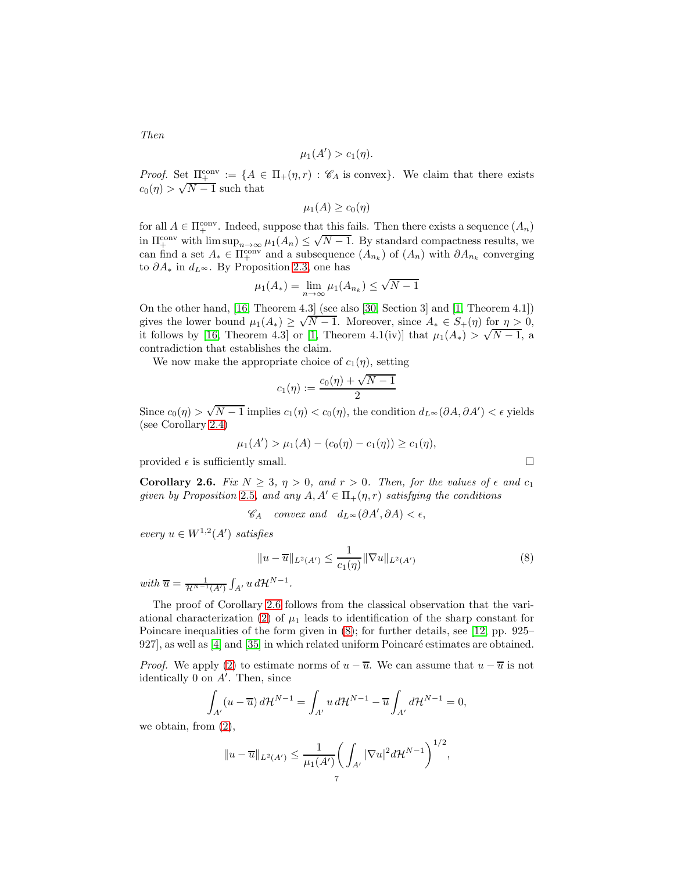$$
\mu_1(A') > c_1(\eta).
$$

*Proof.* Set  $\Pi_{+}^{conv} := \{A \in \Pi_{+}(\eta,r) : \mathscr{C}_{A} \text{ is convex}\}\.$  We claim that there exists  $c_0(\eta) > \sqrt{N-1}$  such that

$$
\mu_1(A) \geq c_0(\eta)
$$

for all  $A \in \Pi^{\text{conv}}_+$ . Indeed, suppose that this fails. Then there exists a sequence  $(A_n)$ in  $\Pi_{+}^{\text{conv}}$  with  $\limsup_{n\to\infty}\mu_1(A_n)\leq \sqrt{N-1}$ . By standard compactness results, we can find a set  $A_* \in \Pi_+^{\text{conv}}$  and a subsequence  $(A_{n_k})$  of  $(A_n)$  with  $\partial A_{n_k}$  converging to  $\partial A_*$  in  $d_{L^{\infty}}$ . By Proposition [2.3,](#page-3-0) one has

$$
\mu_1(A_*) = \lim_{n \to \infty} \mu_1(A_{n_k}) \le \sqrt{N - 1}
$$

On the other hand, [\[16,](#page-13-19) Theorem 4.3] (see also [\[30,](#page-13-20) Section 3] and [\[1,](#page-12-4) Theorem 4.1]) gives the lower bound  $\mu_1(A_*) \geq \sqrt{N-1}$ . Moreover, since  $A_* \in S_+(\eta)$  for  $\eta > 0$ , it follows by [\[16,](#page-13-19) Theorem 4.3] or [\[1,](#page-12-4) Theorem 4.1(iv)] that  $\mu_1(A_*) > \sqrt{N-1}$ , a contradiction that establishes the claim.

We now make the appropriate choice of  $c_1(\eta)$ , setting

$$
c_1(\eta) := \frac{c_0(\eta) + \sqrt{N-1}}{2}
$$

Since  $c_0(\eta) > \sqrt{N-1}$  implies  $c_1(\eta) < c_0(\eta)$ , the condition  $d_{L^{\infty}}(\partial A, \partial A') < \epsilon$  yields (see Corollary [2.4\)](#page-5-0)

$$
\mu_1(A') > \mu_1(A) - (c_0(\eta) - c_1(\eta)) \ge c_1(\eta),
$$

provided  $\epsilon$  is sufficiently small.

<span id="page-6-0"></span>Corollary 2.6. *Fix*  $N \geq 3$ ,  $\eta > 0$ , and  $r > 0$ . Then, for the values of  $\epsilon$  and  $c_1$ *given by Proposition* [2](#page-5-1).5*, and any*  $A, A' \in \Pi_+(\eta, r)$  *satisfying the conditions* 

$$
\mathscr{C}_A \quad convex \ and \quad d_{L^{\infty}}(\partial A', \partial A) < \epsilon,
$$

 $every \ u \in W^{1,2}(A') \ satisfies$ 

$$
||u - \overline{u}||_{L^{2}(A')} \le \frac{1}{c_{1}(\eta)} ||\nabla u||_{L^{2}(A')} \tag{8}
$$

*with*  $\overline{u} = \frac{1}{\mathcal{H}^{N-1}(A')} \int_{A'} u \, d\mathcal{H}^{N-1}$ .

The proof of Corollary [2.6](#page-6-0) follows from the classical observation that the vari-ational characterization [\(2\)](#page-3-1) of  $\mu_1$  leads to identification of the sharp constant for Poincare inequalities of the form given in [\(8\)](#page-6-1); for further details, see [\[12,](#page-13-21) pp. 925–  $927$ , as well as  $[4]$  and  $[35]$  in which related uniform Poincaré estimates are obtained.

*Proof.* We apply [\(2\)](#page-3-1) to estimate norms of  $u - \overline{u}$ . We can assume that  $u - \overline{u}$  is not identically 0 on  $A'$ . Then, since

$$
\int_{A'} (u - \overline{u}) d\mathcal{H}^{N-1} = \int_{A'} u d\mathcal{H}^{N-1} - \overline{u} \int_{A'} d\mathcal{H}^{N-1} = 0,
$$

we obtain, from [\(2\)](#page-3-1),

$$
||u - \overline{u}||_{L^2(A')} \leq \frac{1}{\mu_1(A')} \bigg( \int_{A'} |\nabla u|^2 d\mathcal{H}^{N-1} \bigg)^{1/2},
$$

*Then*

<span id="page-6-1"></span>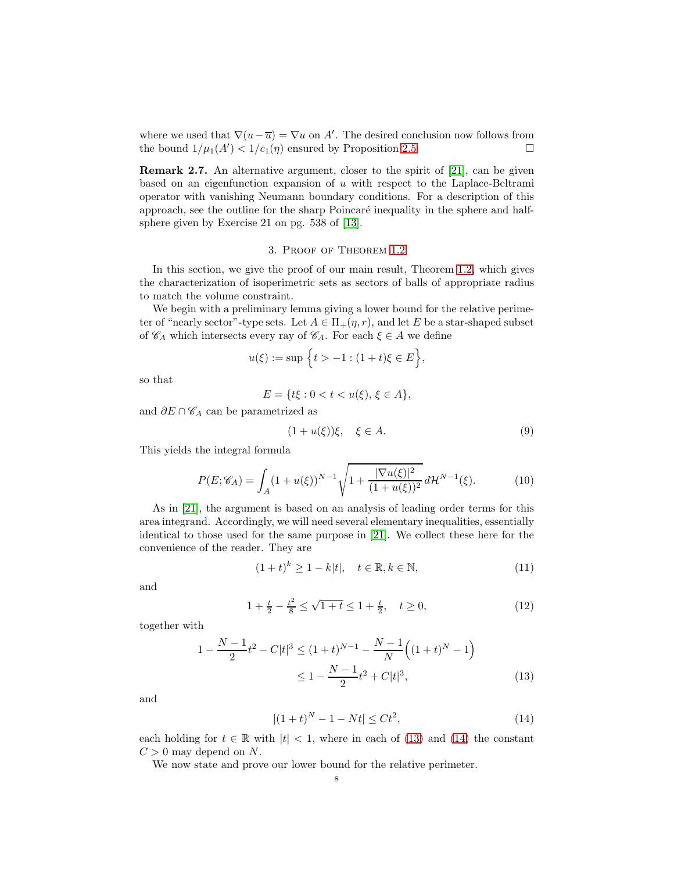where we used that  $\nabla(u-\overline{u}) = \nabla u$  on A'. The desired conclusion now follows from the bound  $1/\mu_1(A') < 1/c_1(\eta)$  ensured by Proposition 2.[5.](#page-5-1)

Remark 2.7. An alternative argument, closer to the spirit of [\[21\]](#page-13-5), can be given based on an eigenfunction expansion of  $u$  with respect to the Laplace-Beltrami operator with vanishing Neumann boundary conditions. For a description of this approach, see the outline for the sharp Poincaré inequality in the sphere and halfsphere given by Exercise 21 on pg. 538 of [\[13\]](#page-13-22).

## 3. Proof of Theorem [1](#page-1-0).2

In this section, we give the proof of our main result, Theorem 1.[2,](#page-1-0) which gives the characterization of isoperimetric sets as sectors of balls of appropriate radius to match the volume constraint.

We begin with a preliminary lemma giving a lower bound for the relative perimeter of "nearly sector"-type sets. Let  $A \in \Pi_+(\eta, r)$ , and let E be a star-shaped subset of  $\mathscr{C}_A$  which intersects every ray of  $\mathscr{C}_A$ . For each  $\xi \in A$  we define

$$
u(\xi) := \sup \{ t > -1 : (1+t)\xi \in E \},\
$$

so that

$$
E = \{ t\xi : 0 < t < u(\xi), \, \xi \in A \},
$$

and  $\partial E \cap \mathscr{C}_A$  can be parametrized as

<span id="page-7-3"></span><span id="page-7-2"></span>
$$
(1+u(\xi))\xi, \quad \xi \in A. \tag{9}
$$

This yields the integral formula

$$
P(E; \mathscr{C}_A) = \int_A (1 + u(\xi))^{N-1} \sqrt{1 + \frac{|\nabla u(\xi)|^2}{(1 + u(\xi))^2}} d\mathcal{H}^{N-1}(\xi).
$$
 (10)

As in [\[21\]](#page-13-5), the argument is based on an analysis of leading order terms for this area integrand. Accordingly, we will need several elementary inequalities, essentially identical to those used for the same purpose in [\[21\]](#page-13-5). We collect these here for the convenience of the reader. They are

<span id="page-7-5"></span><span id="page-7-4"></span>
$$
(1+t)^k \ge 1 - k|t|, \quad t \in \mathbb{R}, k \in \mathbb{N}, \tag{11}
$$

and

$$
1 + \frac{t}{2} - \frac{t^2}{8} \le \sqrt{1 + t} \le 1 + \frac{t}{2}, \quad t \ge 0,
$$
\n<sup>(12)</sup>

together with

$$
1 - \frac{N-1}{2}t^2 - C|t|^3 \le (1+t)^{N-1} - \frac{N-1}{N} \Big( (1+t)^N - 1 \Big) \le 1 - \frac{N-1}{2}t^2 + C|t|^3,
$$
\n(13)

and

<span id="page-7-1"></span><span id="page-7-0"></span>
$$
|(1+t)^N - 1 - Nt| \le Ct^2,
$$
\n(14)

each holding for  $t \in \mathbb{R}$  with  $|t| < 1$ , where in each of [\(13\)](#page-7-0) and [\(14\)](#page-7-1) the constant  $C > 0$  may depend on N.

We now state and prove our lower bound for the relative perimeter.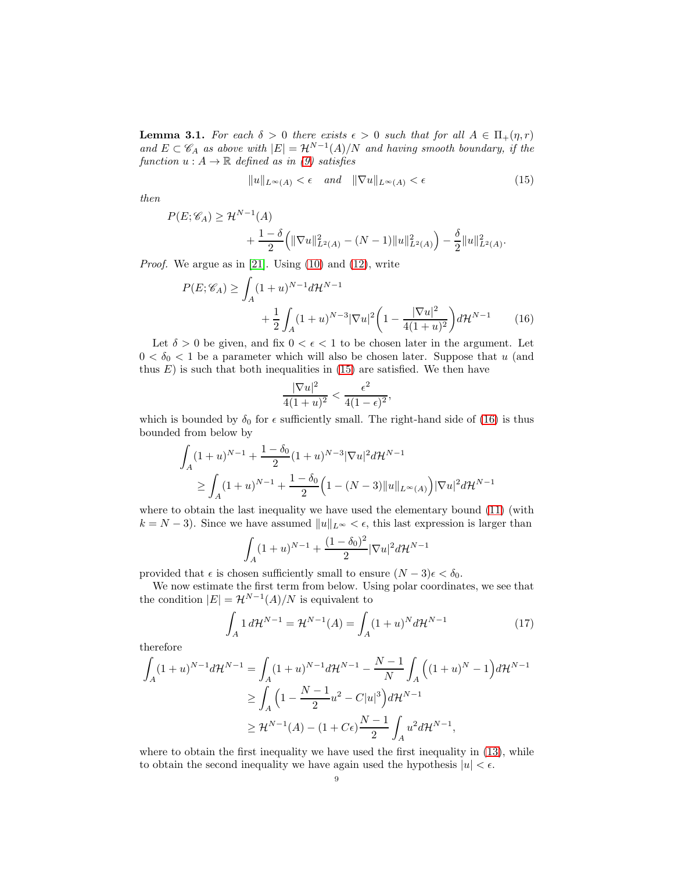<span id="page-8-0"></span>**Lemma 3.1.** *For each*  $\delta > 0$  *there exists*  $\epsilon > 0$  *such that for all*  $A \in \Pi_+(\eta, r)$ and  $E \subset \mathscr{C}_A$  as above with  $|E| = \mathcal{H}^{N-1}(A)/N$  and having smooth boundary, if the *function*  $u : A \to \mathbb{R}$  *defined as in* [\(9\)](#page-7-2) *satisfies* 

<span id="page-8-1"></span>
$$
||u||_{L^{\infty}(A)} < \epsilon \quad and \quad ||\nabla u||_{L^{\infty}(A)} < \epsilon \tag{15}
$$

*then*

$$
P(E; \mathscr{C}_A) \ge \mathcal{H}^{N-1}(A) + \frac{1-\delta}{2} \left( \|\nabla u\|_{L^2(A)}^2 - (N-1) \|u\|_{L^2(A)}^2 \right) - \frac{\delta}{2} \|u\|_{L^2(A)}^2.
$$

*Proof.* We argue as in [\[21\]](#page-13-5). Using [\(10\)](#page-7-3) and [\(12\)](#page-7-4), write

$$
P(E; \mathscr{C}_A) \ge \int_A (1+u)^{N-1} d\mathcal{H}^{N-1} + \frac{1}{2} \int_A (1+u)^{N-3} |\nabla u|^2 \left(1 - \frac{|\nabla u|^2}{4(1+u)^2}\right) d\mathcal{H}^{N-1}
$$
(16)

Let  $\delta > 0$  be given, and fix  $0 < \epsilon < 1$  to be chosen later in the argument. Let  $0 < \delta_0 < 1$  be a parameter which will also be chosen later. Suppose that u (and thus  $E$ ) is such that both inequalities in [\(15\)](#page-8-1) are satisfied. We then have

<span id="page-8-2"></span>
$$
\frac{|\nabla u|^2}{4(1+u)^2} < \frac{\epsilon^2}{4(1-\epsilon)^2},
$$

which is bounded by  $\delta_0$  for  $\epsilon$  sufficiently small. The right-hand side of [\(16\)](#page-8-2) is thus bounded from below by

$$
\int_{A} (1+u)^{N-1} + \frac{1-\delta_0}{2} (1+u)^{N-3} |\nabla u|^2 d\mathcal{H}^{N-1}
$$
\n
$$
\geq \int_{A} (1+u)^{N-1} + \frac{1-\delta_0}{2} (1 - (N-3) ||u||_{L^{\infty}(A)}) |\nabla u|^2 d\mathcal{H}^{N-1}
$$

where to obtain the last inequality we have used the elementary bound [\(11\)](#page-7-5) (with  $k = N - 3$ ). Since we have assumed  $||u||_{L^{\infty}} < \epsilon$ , this last expression is larger than

<span id="page-8-3"></span>
$$
\int_A (1+u)^{N-1} + \frac{(1-\delta_0)^2}{2} |\nabla u|^2 d\mathcal{H}^{N-1}
$$

provided that  $\epsilon$  is chosen sufficiently small to ensure  $(N-3)\epsilon < \delta_0$ .

We now estimate the first term from below. Using polar coordinates, we see that the condition  $|E| = \mathcal{H}^{N-1}(A)/N$  is equivalent to

$$
\int_{A} 1 d\mathcal{H}^{N-1} = \mathcal{H}^{N-1}(A) = \int_{A} (1+u)^{N} d\mathcal{H}^{N-1}
$$
\n(17)

therefore

$$
\int_{A} (1+u)^{N-1} d\mathcal{H}^{N-1} = \int_{A} (1+u)^{N-1} d\mathcal{H}^{N-1} - \frac{N-1}{N} \int_{A} \left( (1+u)^{N} - 1 \right) d\mathcal{H}^{N-1}
$$
  
\n
$$
\geq \int_{A} \left( 1 - \frac{N-1}{2} u^{2} - C|u|^{3} \right) d\mathcal{H}^{N-1}
$$
  
\n
$$
\geq \mathcal{H}^{N-1}(A) - (1 + C\epsilon) \frac{N-1}{2} \int_{A} u^{2} d\mathcal{H}^{N-1},
$$

where to obtain the first inequality we have used the first inequality in [\(13\)](#page-7-0), while to obtain the second inequality we have again used the hypothesis  $|u| < \epsilon$ .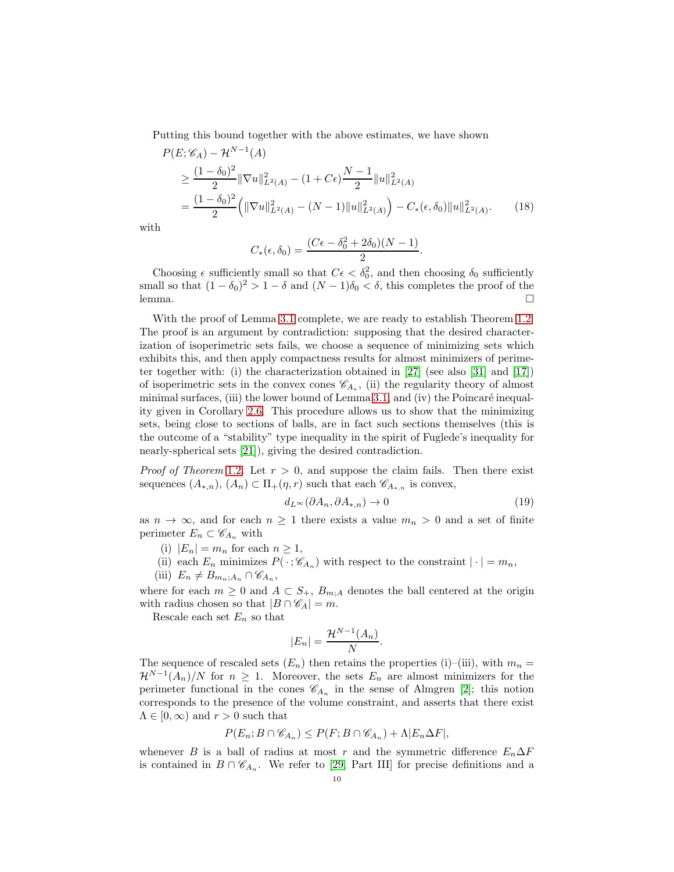Putting this bound together with the above estimates, we have shown

$$
P(E; \mathscr{C}_A) - \mathcal{H}^{N-1}(A)
$$
  
\n
$$
\geq \frac{(1 - \delta_0)^2}{2} \|\nabla u\|_{L^2(A)}^2 - (1 + C\epsilon) \frac{N-1}{2} \|u\|_{L^2(A)}^2
$$
  
\n
$$
= \frac{(1 - \delta_0)^2}{2} \left( \|\nabla u\|_{L^2(A)}^2 - (N-1) \|u\|_{L^2(A)}^2 \right) - C_*(\epsilon, \delta_0) \|u\|_{L^2(A)}^2.
$$
 (18)

with

$$
C_*(\epsilon,\delta_0)=\frac{(C\epsilon-\delta_0^2+2\delta_0)(N-1)}{2}.
$$

Choosing  $\epsilon$  sufficiently small so that  $C\epsilon < \delta_0^2$ , and then choosing  $\delta_0$  sufficiently small so that  $(1 - \delta_0)^2 > 1 - \delta$  and  $(N - 1)\delta_0 < \delta$ , this completes the proof of the lemma.  $\Box$ 

With the proof of Lemma [3](#page-8-0).1 complete, we are ready to establish Theorem 1.[2.](#page-1-0) The proof is an argument by contradiction: supposing that the desired characterization of isoperimetric sets fails, we choose a sequence of minimizing sets which exhibits this, and then apply compactness results for almost minimizers of perime-ter together with: (i) the characterization obtained in [\[27\]](#page-13-0) (see also [\[31\]](#page-13-23) and [\[17\]](#page-13-3)) of isoperimetric sets in the convex cones  $\mathscr{C}_{A_*}$ , (ii) the regularity theory of almost minimal surfaces, (iii) the lower bound of Lemma [3](#page-8-0).1, and (iv) the Poincaré inequality given in Corollary [2](#page-6-0).6. This procedure allows us to show that the minimizing sets, being close to sections of balls, are in fact such sections themselves (this is the outcome of a "stability" type inequality in the spirit of Fuglede's inequality for nearly-spherical sets [\[21\]](#page-13-5)), giving the desired contradiction.

*Proof of Theorem* [1](#page-1-0).2. Let  $r > 0$ , and suppose the claim fails. Then there exist sequences  $(A_{*,n}), (A_n) \subset \Pi_+(\eta, r)$  such that each  $\mathscr{C}_{A_{*,n}}$  is convex,

<span id="page-9-0"></span>
$$
d_{L^{\infty}}(\partial A_n, \partial A_{*,n}) \to 0 \tag{19}
$$

as  $n \to \infty$ , and for each  $n \geq 1$  there exists a value  $m_n > 0$  and a set of finite perimeter  $E_n \subset \mathscr{C}_{A_n}$  with

- (i)  $|E_n| = m_n$  for each  $n \geq 1$ ,
- (ii) each  $E_n$  minimizes  $P(\cdot; \mathscr{C}_{A_n})$  with respect to the constraint  $|\cdot| = m_n$ ,
- (iii)  $E_n \neq B_{m_n;A_n} \cap \mathscr{C}_{A_n},$

where for each  $m \geq 0$  and  $A \subset S_+, B_{m,A}$  denotes the ball centered at the origin with radius chosen so that  $|B \cap \mathscr{C}_A| = m$ .

Rescale each set  $E_n$  so that

$$
|E_n| = \frac{\mathcal{H}^{N-1}(A_n)}{N}.
$$

The sequence of rescaled sets  $(E_n)$  then retains the properties (i)–(iii), with  $m_n =$  $\mathcal{H}^{N-1}(A_n)/N$  for  $n \geq 1$ . Moreover, the sets  $E_n$  are almost minimizers for the perimeter functional in the cones  $\mathscr{C}_{A_n}$  in the sense of Almgren [\[2\]](#page-12-6); this notion corresponds to the presence of the volume constraint, and asserts that there exist  $\Lambda \in [0,\infty)$  and  $r > 0$  such that

$$
P(E_n; B \cap \mathscr{C}_{A_n}) \le P(F; B \cap \mathscr{C}_{A_n}) + \Lambda |E_n \Delta F|,
$$

whenever B is a ball of radius at most r and the symmetric difference  $E_n\Delta F$ is contained in  $B \cap \mathscr{C}_{A_n}$ . We refer to [\[29,](#page-13-11) Part III] for precise definitions and a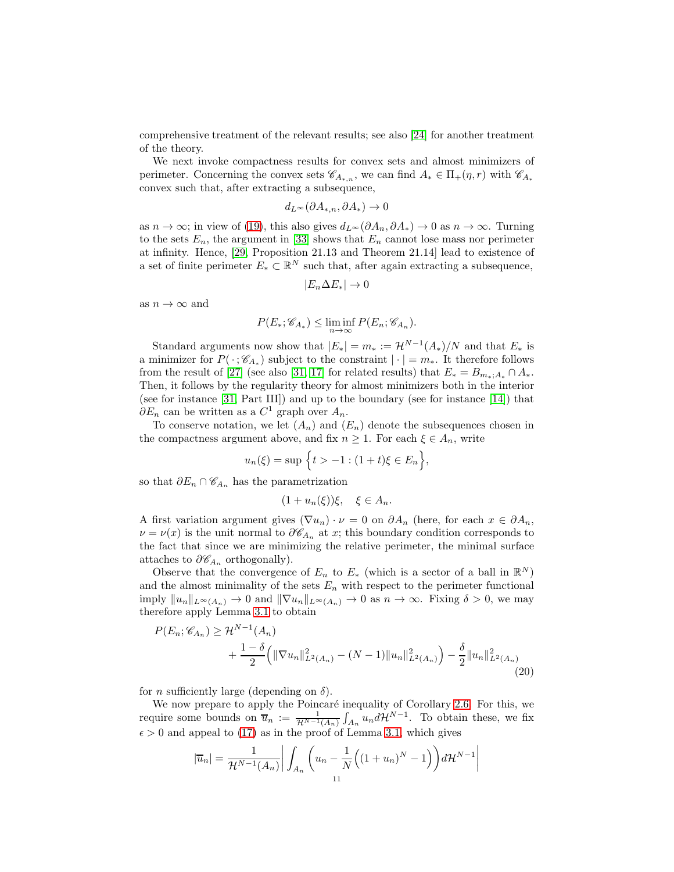comprehensive treatment of the relevant results; see also [\[24\]](#page-13-24) for another treatment of the theory.

We next invoke compactness results for convex sets and almost minimizers of perimeter. Concerning the convex sets  $\mathscr{C}_{A_{*,n}}$ , we can find  $A_* \in \Pi_+(\eta,r)$  with  $\mathscr{C}_{A_*}$ convex such that, after extracting a subsequence,

$$
d_{L^{\infty}}(\partial A_{*,n}, \partial A_{*}) \to 0
$$

as  $n \to \infty$ ; in view of [\(19\)](#page-9-0), this also gives  $d_{L^{\infty}}(\partial A_n, \partial A_*) \to 0$  as  $n \to \infty$ . Turning to the sets  $E_n$ , the argument in [\[33\]](#page-13-2) shows that  $E_n$  cannot lose mass nor perimeter at infinity. Hence, [\[29,](#page-13-11) Proposition 21.13 and Theorem 21.14] lead to existence of a set of finite perimeter  $E_* \subset \mathbb{R}^N$  such that, after again extracting a subsequence,

$$
|E_n \Delta E_*| \to 0
$$

as  $n \to \infty$  and

$$
P(E_*; \mathscr{C}_{A_*}) \le \liminf_{n \to \infty} P(E_n; \mathscr{C}_{A_n}).
$$

Standard arguments now show that  $|E_*| = m_* := \mathcal{H}^{N-1}(A_*)/N$  and that  $E_*$  is a minimizer for  $P(\cdot; \mathscr{C}_{A_*})$  subject to the constraint  $|\cdot| = m_*$ . It therefore follows from the result of [\[27\]](#page-13-0) (see also [\[31,](#page-13-23) [17\]](#page-13-3) for related results) that  $E_* = B_{m_*;A_*} \cap A_*$ . Then, it follows by the regularity theory for almost minimizers both in the interior (see for instance [\[31,](#page-13-23) Part III]) and up to the boundary (see for instance [\[14\]](#page-13-14)) that  $\partial E_n$  can be written as a  $C^1$  graph over  $A_n$ .

To conserve notation, we let  $(A_n)$  and  $(E_n)$  denote the subsequences chosen in the compactness argument above, and fix  $n \geq 1$ . For each  $\xi \in A_n$ , write

$$
u_n(\xi) = \sup \{ t > -1 : (1+t)\xi \in E_n \},\
$$

so that  $\partial E_n \cap \mathscr{C}_{A_n}$  has the parametrization

<span id="page-10-0"></span>
$$
(1+u_n(\xi))\xi, \quad \xi \in A_n.
$$

A first variation argument gives  $(\nabla u_n) \cdot \nu = 0$  on  $\partial A_n$  (here, for each  $x \in \partial A_n$ ,  $\nu = \nu(x)$  is the unit normal to  $\partial \mathscr{C}_{A_n}$  at x; this boundary condition corresponds to the fact that since we are minimizing the relative perimeter, the minimal surface attaches to  $\partial \mathscr{C}_{A_n}$  orthogonally).

Observe that the convergence of  $E_n$  to  $E_*$  (which is a sector of a ball in  $\mathbb{R}^N$ ) and the almost minimality of the sets  $E_n$  with respect to the perimeter functional imply  $||u_n||_{L^\infty(A_n)} \to 0$  and  $||\nabla u_n||_{L^\infty(A_n)} \to 0$  as  $n \to \infty$ . Fixing  $\delta > 0$ , we may therefore apply Lemma [3](#page-8-0).1 to obtain

$$
P(E_n; \mathscr{C}_{A_n}) \ge \mathcal{H}^{N-1}(A_n)
$$
  
+ 
$$
\frac{1-\delta}{2} \Big( \|\nabla u_n\|_{L^2(A_n)}^2 - (N-1) \|u_n\|_{L^2(A_n)}^2 \Big) - \frac{\delta}{2} \|u_n\|_{L^2(A_n)}^2
$$
(20)

for *n* sufficiently large (depending on  $\delta$ ).

We now prepare to apply the Poincaré inequality of Corollary [2](#page-6-0).6. For this, we require some bounds on  $\overline{u}_n := \frac{1}{\mathcal{H}^{N-1}(A_n)} \int_{A_n} u_n d\mathcal{H}^{N-1}$ . To obtain these, we fix  $\epsilon > 0$  and appeal to [\(17\)](#page-8-3) as in the proof of Lemma [3](#page-8-0).1, which gives

$$
|\overline{u}_n| = \frac{1}{\mathcal{H}^{N-1}(A_n)} \bigg| \int_{A_n} \bigg( u_n - \frac{1}{N} \Big( (1+u_n)^N - 1 \Big) \bigg) d\mathcal{H}^{N-1} \bigg|
$$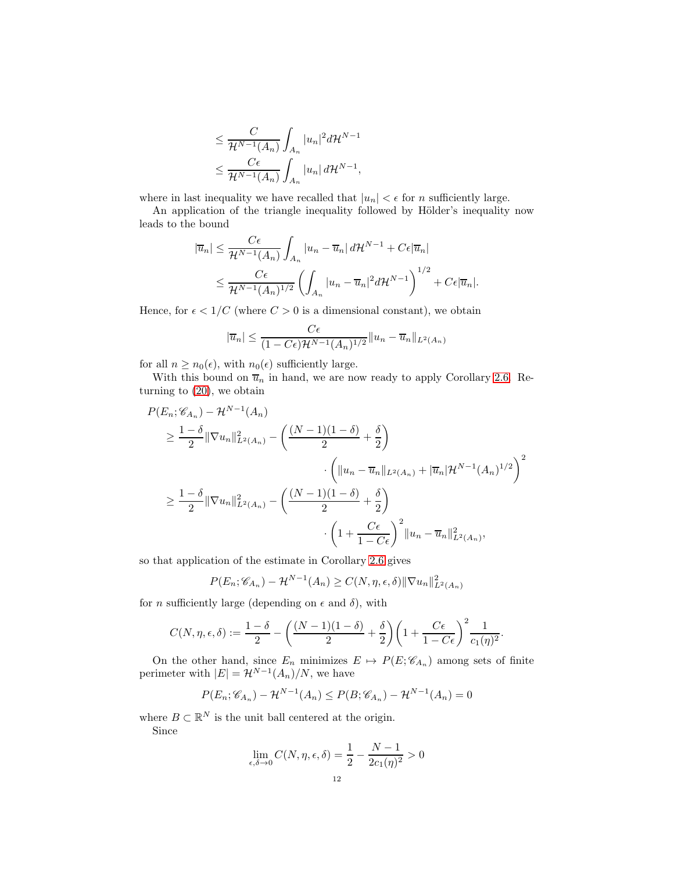$$
\leq \frac{C}{\mathcal{H}^{N-1}(A_n)} \int_{A_n} |u_n|^2 d\mathcal{H}^{N-1}
$$
  

$$
\leq \frac{C\epsilon}{\mathcal{H}^{N-1}(A_n)} \int_{A_n} |u_n| d\mathcal{H}^{N-1},
$$

where in last inequality we have recalled that  $|u_n| < \epsilon$  for *n* sufficiently large.

An application of the triangle inequality followed by Hölder's inequality now leads to the bound

$$
|\overline{u}_n| \leq \frac{C\epsilon}{\mathcal{H}^{N-1}(A_n)} \int_{A_n} |u_n - \overline{u}_n| d\mathcal{H}^{N-1} + C\epsilon |\overline{u}_n|
$$
  

$$
\leq \frac{C\epsilon}{\mathcal{H}^{N-1}(A_n)^{1/2}} \left( \int_{A_n} |u_n - \overline{u}_n|^2 d\mathcal{H}^{N-1} \right)^{1/2} + C\epsilon |\overline{u}_n|.
$$

Hence, for  $\epsilon < 1/C$  (where  $C > 0$  is a dimensional constant), we obtain

$$
|\overline{u}_n| \le \frac{C\epsilon}{(1 - C\epsilon)\mathcal{H}^{N-1}(A_n)^{1/2}} \|u_n - \overline{u}_n\|_{L^2(A_n)}
$$

for all  $n \geq n_0(\epsilon)$ , with  $n_0(\epsilon)$  sufficiently large.

With this bound on  $\overline{u}_n$  in hand, we are now ready to apply Corollary [2](#page-6-0).6. Returning to [\(20\)](#page-10-0), we obtain

$$
P(E_n; \mathscr{C}_{A_n}) - \mathcal{H}^{N-1}(A_n)
$$
  
\n
$$
\geq \frac{1-\delta}{2} \|\nabla u_n\|_{L^2(A_n)}^2 - \left(\frac{(N-1)(1-\delta)}{2} + \frac{\delta}{2}\right)
$$
  
\n
$$
\cdot \left(\|u_n - \overline{u}_n\|_{L^2(A_n)} + |\overline{u}_n|\mathcal{H}^{N-1}(A_n)^{1/2}\right)^2
$$
  
\n
$$
\geq \frac{1-\delta}{2} \|\nabla u_n\|_{L^2(A_n)}^2 - \left(\frac{(N-1)(1-\delta)}{2} + \frac{\delta}{2}\right)
$$
  
\n
$$
\cdot \left(1 + \frac{C\epsilon}{1-C\epsilon}\right)^2 \|u_n - \overline{u}_n\|_{L^2(A_n)}^2,
$$

so that application of the estimate in Corollary 2.[6](#page-6-0) gives

$$
P(E_n; \mathscr{C}_{A_n}) - \mathcal{H}^{N-1}(A_n) \ge C(N, \eta, \epsilon, \delta) ||\nabla u_n||^2_{L^2(A_n)}
$$

for *n* sufficiently large (depending on  $\epsilon$  and  $\delta$ ), with

$$
C(N,\eta,\epsilon,\delta):=\frac{1-\delta}{2}-\bigg(\frac{(N-1)(1-\delta)}{2}+\frac{\delta}{2}\bigg)\bigg(1+\frac{C\epsilon}{1-C\epsilon}\bigg)^2\frac{1}{c_1(\eta)^2}.
$$

On the other hand, since  $E_n$  minimizes  $E \mapsto P(E; \mathscr{C}_{A_n})$  among sets of finite perimeter with  $|E| = \mathcal{H}^{N-1}(A_n)/N$ , we have

$$
P(E_n; \mathscr{C}_{A_n}) - \mathcal{H}^{N-1}(A_n) \le P(B; \mathscr{C}_{A_n}) - \mathcal{H}^{N-1}(A_n) = 0
$$

where  $B \subset \mathbb{R}^N$  is the unit ball centered at the origin. Since

$$
\lim_{\epsilon,\delta \to 0} C(N,\eta,\epsilon,\delta) = \frac{1}{2} - \frac{N-1}{2c_1(\eta)^2} > 0
$$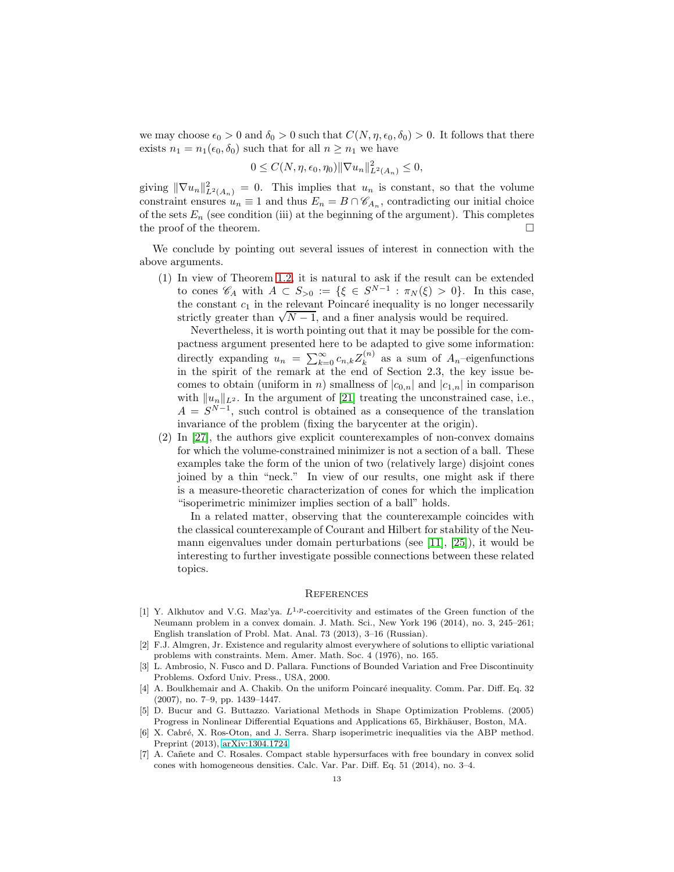we may choose  $\epsilon_0 > 0$  and  $\delta_0 > 0$  such that  $C(N, \eta, \epsilon_0, \delta_0) > 0$ . It follows that there exists  $n_1 = n_1(\epsilon_0, \delta_0)$  such that for all  $n \geq n_1$  we have

$$
0 \leq C(N, \eta, \epsilon_0, \eta_0) \|\nabla u_n\|_{L^2(A_n)}^2 \leq 0,
$$

giving  $\|\nabla u_n\|_{L^2(A_n)}^2 = 0$ . This implies that  $u_n$  is constant, so that the volume constraint ensures  $u_n \equiv 1$  and thus  $E_n = B \cap \mathscr{C}_{A_n}$ , contradicting our initial choice of the sets  $E_n$  (see condition (iii) at the beginning of the argument). This completes the proof of the theorem.  $\Box$ 

We conclude by pointing out several issues of interest in connection with the above arguments.

(1) In view of Theorem 1.[2,](#page-1-0) it is natural to ask if the result can be extended to cones  $\mathscr{C}_A$  with  $A \subset S_{>0} := \{ \xi \in S^{N-1} : \pi_N(\xi) > 0 \}.$  In this case, the constant  $c_1$  in the relevant Poincaré inequality is no longer necessarily strictly greater than  $\sqrt{N-1}$ , and a finer analysis would be required.

Nevertheless, it is worth pointing out that it may be possible for the compactness argument presented here to be adapted to give some information: directly expanding  $u_n = \sum_{k=0}^{\infty} c_{n,k} Z_k^{(n)}$  $k^{(n)}$  as a sum of  $A_n$ -eigenfunctions in the spirit of the remark at the end of Section 2.3, the key issue becomes to obtain (uniform in *n*) smallness of  $|c_{0,n}|$  and  $|c_{1,n}|$  in comparison with  $||u_n||_{L^2}$ . In the argument of [\[21\]](#page-13-5) treating the unconstrained case, i.e.,  $A = S^{N-1}$ , such control is obtained as a consequence of the translation invariance of the problem (fixing the barycenter at the origin).

(2) In [\[27\]](#page-13-0), the authors give explicit counterexamples of non-convex domains for which the volume-constrained minimizer is not a section of a ball. These examples take the form of the union of two (relatively large) disjoint cones joined by a thin "neck." In view of our results, one might ask if there is a measure-theoretic characterization of cones for which the implication "isoperimetric minimizer implies section of a ball" holds.

In a related matter, observing that the counterexample coincides with the classical counterexample of Courant and Hilbert for stability of the Neumann eigenvalues under domain perturbations (see [\[11\]](#page-13-25), [\[25\]](#page-13-26)), it would be interesting to further investigate possible connections between these related topics.

### **REFERENCES**

- <span id="page-12-4"></span>[1] Y. Alkhutov and V.G. Maz'ya.  $L^{1,p}$ -coercitivity and estimates of the Green function of the Neumann problem in a convex domain. J. Math. Sci., New York 196 (2014), no. 3, 245–261; English translation of Probl. Mat. Anal. 73 (2013), 3–16 (Russian).
- <span id="page-12-6"></span>[2] F.J. Almgren, Jr. Existence and regularity almost everywhere of solutions to elliptic variational problems with constraints. Mem. Amer. Math. Soc. 4 (1976), no. 165.
- <span id="page-12-2"></span>[3] L. Ambrosio, N. Fusco and D. Pallara. Functions of Bounded Variation and Free Discontinuity Problems. Oxford Univ. Press., USA, 2000.
- <span id="page-12-5"></span>[4] A. Boulkhemair and A. Chakib. On the uniform Poincaré inequality. Comm. Par. Diff. Eq. 32 (2007), no. 7–9, pp. 1439–1447.
- <span id="page-12-3"></span>[5] D. Bucur and G. Buttazzo. Variational Methods in Shape Optimization Problems. (2005) Progress in Nonlinear Differential Equations and Applications 65, Birkhäuser, Boston, MA.
- <span id="page-12-0"></span>[6] X. Cabré, X. Ros-Oton, and J. Serra. Sharp isoperimetric inequalities via the ABP method. Preprint (2013), [arXiv:1304.1724.](http://arxiv.org/abs/1304.1724)
- <span id="page-12-1"></span>[7] A. Cañete and C. Rosales. Compact stable hypersurfaces with free boundary in convex solid cones with homogeneous densities. Calc. Var. Par. Diff. Eq. 51 (2014), no. 3–4.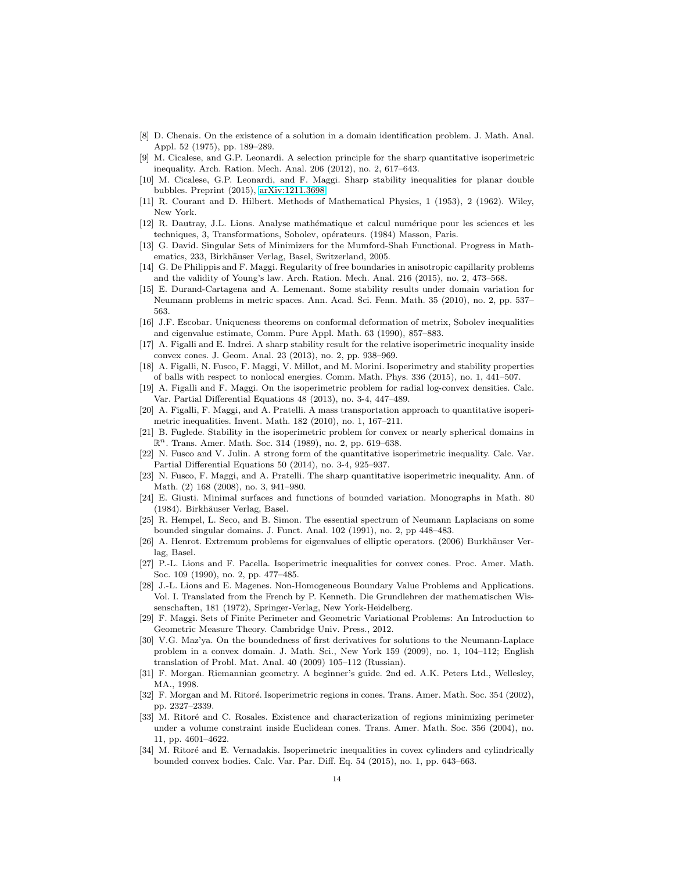- <span id="page-13-15"></span><span id="page-13-6"></span>[8] D. Chenais. On the existence of a solution in a domain identification problem. J. Math. Anal. Appl. 52 (1975), pp. 189–289.
- [9] M. Cicalese, and G.P. Leonardi. A selection principle for the sharp quantitative isoperimetric inequality. Arch. Ration. Mech. Anal. 206 (2012), no. 2, 617–643.
- <span id="page-13-10"></span>[10] M. Cicalese, G.P. Leonardi, and F. Maggi. Sharp stability inequalities for planar double bubbles. Preprint (2015), [arXiv:1211.3698.](http://arxiv.org/abs/1211.3698)
- <span id="page-13-25"></span><span id="page-13-21"></span>[11] R. Courant and D. Hilbert. Methods of Mathematical Physics, 1 (1953), 2 (1962). Wiley, New York.
- [12] R. Dautray, J.L. Lions. Analyse math´ematique et calcul num´erique pour les sciences et les techniques, 3, Transformations, Sobolev, opérateurs. (1984) Masson, Paris.
- <span id="page-13-22"></span>[13] G. David. Singular Sets of Minimizers for the Mumford-Shah Functional. Progress in Mathematics, 233, Birkhäuser Verlag, Basel, Switzerland, 2005.
- <span id="page-13-14"></span>[14] G. De Philippis and F. Maggi. Regularity of free boundaries in anisotropic capillarity problems and the validity of Young's law. Arch. Ration. Mech. Anal. 216 (2015), no. 2, 473–568.
- <span id="page-13-18"></span>[15] E. Durand-Cartagena and A. Lemenant. Some stability results under domain variation for Neumann problems in metric spaces. Ann. Acad. Sci. Fenn. Math. 35 (2010), no. 2, pp. 537– 563.
- <span id="page-13-19"></span>[16] J.F. Escobar. Uniqueness theorems on conformal deformation of metrix, Sobolev inequalities and eigenvalue estimate, Comm. Pure Appl. Math. 63 (1990), 857–883.
- <span id="page-13-3"></span>[17] A. Figalli and E. Indrei. A sharp stability result for the relative isoperimetric inequality inside convex cones. J. Geom. Anal. 23 (2013), no. 2, pp. 938–969.
- <span id="page-13-9"></span>[18] A. Figalli, N. Fusco, F. Maggi, V. Millot, and M. Morini. Isoperimetry and stability properties of balls with respect to nonlocal energies. Comm. Math. Phys. 336 (2015), no. 1, 441–507.
- <span id="page-13-7"></span>[19] A. Figalli and F. Maggi. On the isoperimetric problem for radial log-convex densities. Calc. Var. Partial Differential Equations 48 (2013), no. 3-4, 447–489.
- <span id="page-13-13"></span>[20] A. Figalli, F. Maggi, and A. Pratelli. A mass transportation approach to quantitative isoperimetric inequalities. Invent. Math. 182 (2010), no. 1, 167–211.
- <span id="page-13-5"></span>[21] B. Fuglede. Stability in the isoperimetric problem for convex or nearly spherical domains in  $\mathbb{R}^n$ . Trans. Amer. Math. Soc. 314 (1989), no. 2, pp. 619–638.
- <span id="page-13-8"></span>[22] N. Fusco and V. Julin. A strong form of the quantitative isoperimetric inequality. Calc. Var. Partial Differential Equations 50 (2014), no. 3-4, 925–937.
- <span id="page-13-12"></span>[23] N. Fusco, F. Maggi, and A. Pratelli. The sharp quantitative isoperimetric inequality. Ann. of Math. (2) 168 (2008), no. 3, 941–980.
- <span id="page-13-24"></span>[24] E. Giusti. Minimal surfaces and functions of bounded variation. Monographs in Math. 80 (1984). Birkhäuser Verlag, Basel.
- <span id="page-13-26"></span>[25] R. Hempel, L. Seco, and B. Simon. The essential spectrum of Neumann Laplacians on some bounded singular domains. J. Funct. Anal. 102 (1991), no. 2, pp 448–483.
- <span id="page-13-17"></span>[26] A. Henrot. Extremum problems for eigenvalues of elliptic operators. (2006) Burkhäuser Verlag, Basel.
- <span id="page-13-0"></span>[27] P.-L. Lions and F. Pacella. Isoperimetric inequalities for convex cones. Proc. Amer. Math. Soc. 109 (1990), no. 2, pp. 477–485.
- <span id="page-13-16"></span>[28] J.-L. Lions and E. Magenes. Non-Homogeneous Boundary Value Problems and Applications. Vol. I. Translated from the French by P. Kenneth. Die Grundlehren der mathematischen Wissenschaften, 181 (1972), Springer-Verlag, New York-Heidelberg.
- <span id="page-13-11"></span>[29] F. Maggi. Sets of Finite Perimeter and Geometric Variational Problems: An Introduction to Geometric Measure Theory. Cambridge Univ. Press., 2012.
- <span id="page-13-20"></span>[30] V.G. Maz'ya. On the boundedness of first derivatives for solutions to the Neumann-Laplace problem in a convex domain. J. Math. Sci., New York 159 (2009), no. 1, 104–112; English translation of Probl. Mat. Anal. 40 (2009) 105–112 (Russian).
- <span id="page-13-23"></span>[31] F. Morgan. Riemannian geometry. A beginner's guide. 2nd ed. A.K. Peters Ltd., Wellesley, MA., 1998.
- <span id="page-13-1"></span>[32] F. Morgan and M. Ritoré. Isoperimetric regions in cones. Trans. Amer. Math. Soc. 354 (2002), pp. 2327–2339.
- <span id="page-13-2"></span>[33] M. Ritoré and C. Rosales. Existence and characterization of regions minimizing perimeter under a volume constraint inside Euclidean cones. Trans. Amer. Math. Soc. 356 (2004), no. 11, pp. 4601–4622.
- <span id="page-13-4"></span>[34] M. Ritoré and E. Vernadakis. Isoperimetric inequalities in covex cylinders and cylindrically bounded convex bodies. Calc. Var. Par. Diff. Eq. 54 (2015), no. 1, pp. 643–663.